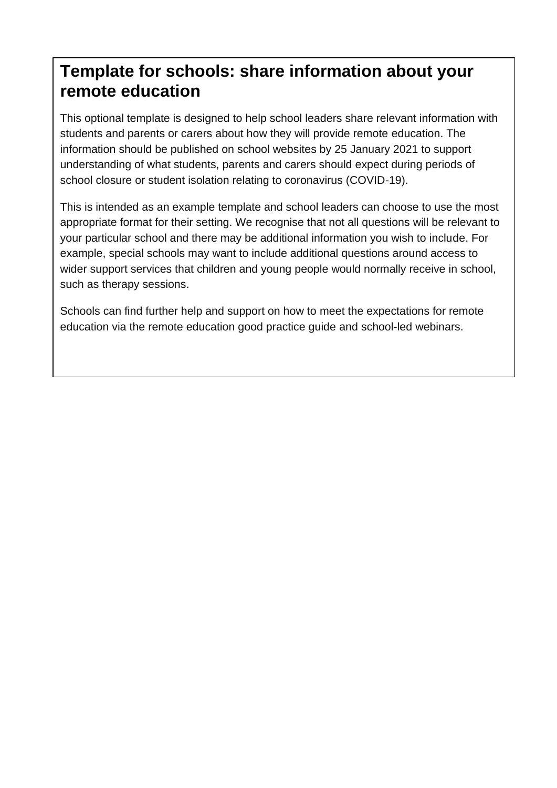# **Template for schools: share information about your remote education**

This optional template is designed to help school leaders share relevant information with students and parents or carers about how they will provide remote education. The information should be published on school websites by 25 January 2021 to support understanding of what students, parents and carers should expect during periods of school closure or student isolation relating to coronavirus (COVID-19).

This is intended as an example template and school leaders can choose to use the most appropriate format for their setting. We recognise that not all questions will be relevant to your particular school and there may be additional information you wish to include. For example, special schools may want to include additional questions around access to wider support services that children and young people would normally receive in school, such as therapy sessions.

Schools can find further help and support on how to meet the expectations for remote education via the [remote education good practice guide](https://www.gov.uk/government/publications/remote-education-good-practice/remote-education-good-practice) and [school-led webinars.](https://www.gov.uk/guidance/remote-education-webinars)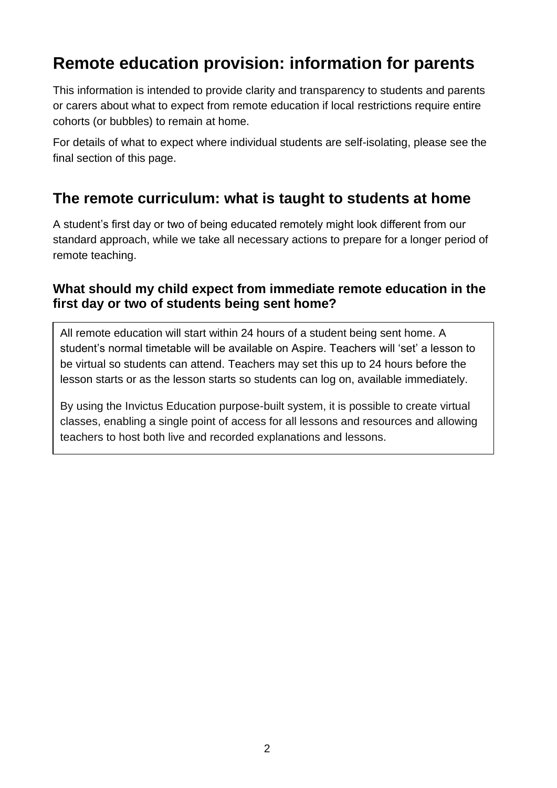# **Remote education provision: information for parents**

This information is intended to provide clarity and transparency to students and parents or carers about what to expect from remote education if local restrictions require entire cohorts (or bubbles) to remain at home.

For details of what to expect where individual students are self-isolating, please see the final section of this page.

## **The remote curriculum: what is taught to students at home**

A student's first day or two of being educated remotely might look different from our standard approach, while we take all necessary actions to prepare for a longer period of remote teaching.

### **What should my child expect from immediate remote education in the first day or two of students being sent home?**

All remote education will start within 24 hours of a student being sent home. A student's normal timetable will be available on Aspire. Teachers will 'set' a lesson to be virtual so students can attend. Teachers may set this up to 24 hours before the lesson starts or as the lesson starts so students can log on, available immediately.

By using the Invictus Education purpose-built system, it is possible to create virtual classes, enabling a single point of access for all lessons and resources and allowing teachers to host both live and recorded explanations and lessons.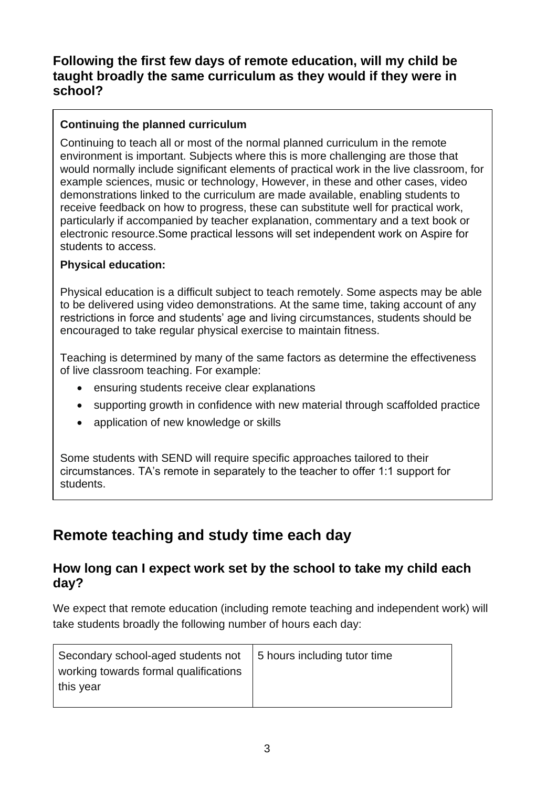### **Following the first few days of remote education, will my child be taught broadly the same curriculum as they would if they were in school?**

#### **Continuing the planned curriculum**

Continuing to teach all or most of the normal planned curriculum in the remote environment is important. Subjects where this is more challenging are those that would normally include significant elements of practical work in the live classroom, for example sciences, music or technology, However, in these and other cases, video demonstrations linked to the curriculum are made available, enabling students to receive feedback on how to progress, these can substitute well for practical work, particularly if accompanied by teacher explanation, commentary and a text book or electronic resource.Some practical lessons will set independent work on Aspire for students to access.

#### **Physical education:**

Physical education is a difficult subject to teach remotely. Some aspects may be able to be delivered using video demonstrations. At the same time, taking account of any restrictions in force and students' age and living circumstances, students should be encouraged to take regular physical exercise to maintain fitness.

Teaching is determined by many of the same factors as determine the effectiveness of live classroom teaching. For example:

- ensuring students receive clear explanations
- supporting growth in confidence with new material through scaffolded practice
- application of new knowledge or skills

Some students with SEND will require specific approaches tailored to their circumstances. TA's remote in separately to the teacher to offer 1:1 support for students.

## **Remote teaching and study time each day**

#### **How long can I expect work set by the school to take my child each day?**

We expect that remote education (including remote teaching and independent work) will take students broadly the following number of hours each day:

| Secondary school-aged students not   5 hours including tutor time |  |
|-------------------------------------------------------------------|--|
| working towards formal qualifications                             |  |
| this year                                                         |  |
|                                                                   |  |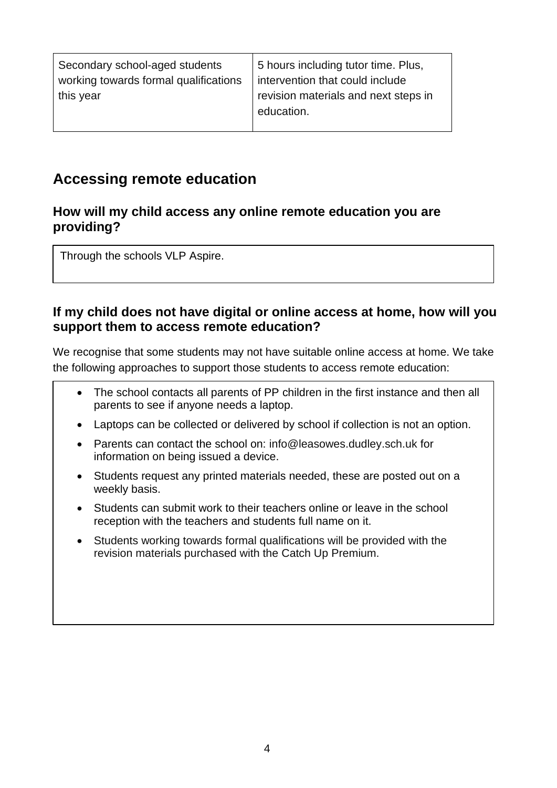| Secondary school-aged students        | 5 hours including tutor time. Plus,  |
|---------------------------------------|--------------------------------------|
| working towards formal qualifications | intervention that could include      |
| this year                             | revision materials and next steps in |
|                                       | education.                           |

## **Accessing remote education**

#### **How will my child access any online remote education you are providing?**

Through the schools VLP Aspire.

#### **If my child does not have digital or online access at home, how will you support them to access remote education?**

We recognise that some students may not have suitable online access at home. We take the following approaches to support those students to access remote education:

- The school contacts all parents of PP children in the first instance and then all parents to see if anyone needs a laptop.
- Laptops can be collected or delivered by school if collection is not an option.
- Parents can contact the school on: [info@leasowes.dudley.sch.uk](mailto:info@leasowes.dudley.sch.uk) for information on being issued a device.
- Students request any printed materials needed, these are posted out on a weekly basis.
- Students can submit work to their teachers online or leave in the school reception with the teachers and students full name on it.
- Students working towards formal qualifications will be provided with the revision materials purchased with the Catch Up Premium.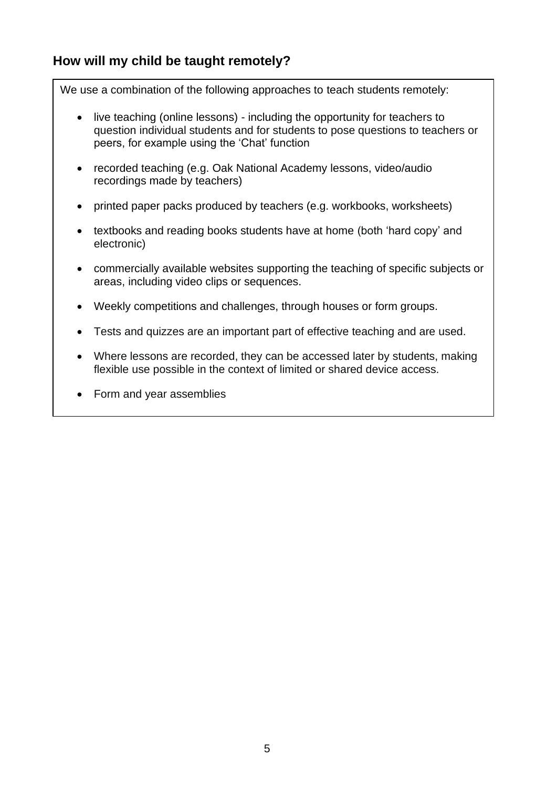### **How will my child be taught remotely?**

We use a combination of the following approaches to teach students remotely:

- live teaching (online lessons) including the opportunity for teachers to question individual students and for students to pose questions to teachers or peers, for example using the 'Chat' function
- recorded teaching (e.g. Oak National Academy lessons, video/audio recordings made by teachers)
- printed paper packs produced by teachers (e.g. workbooks, worksheets)
- textbooks and reading books students have at home (both 'hard copy' and electronic)
- commercially available websites supporting the teaching of specific subjects or areas, including video clips or sequences.
- Weekly competitions and challenges, through houses or form groups.
- Tests and quizzes are an important part of effective teaching and are used.
- Where lessons are recorded, they can be accessed later by students, making flexible use possible in the context of limited or shared device access.
- Form and year assemblies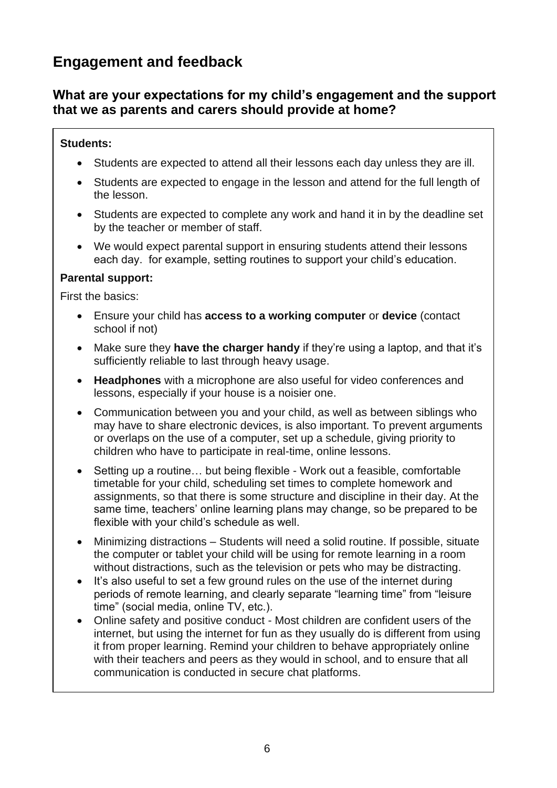## **Engagement and feedback**

### **What are your expectations for my child's engagement and the support that we as parents and carers should provide at home?**

#### **Students:**

- Students are expected to attend all their lessons each day unless they are ill.
- Students are expected to engage in the lesson and attend for the full length of the lesson.
- Students are expected to complete any work and hand it in by the deadline set by the teacher or member of staff.
- We would expect parental support in ensuring students attend their lessons each day. for example, setting routines to support your child's education.

#### **Parental support:**

First the basics:

- Ensure your child has **access to a working computer** or **device** (contact school if not)
- Make sure they **have the charger handy** if they're using a laptop, and that it's sufficiently reliable to last through heavy usage.
- **Headphones** with a microphone are also useful for video conferences and lessons, especially if your house is a noisier one.
- Communication between you and your child, as well as between siblings who may have to share electronic devices, is also important. To prevent arguments or overlaps on the use of a computer, set up a schedule, giving priority to children who have to participate in real-time, online lessons.
- Setting up a routine… but being flexible Work out a feasible, comfortable timetable for your child, scheduling set times to complete homework and assignments, so that there is some structure and discipline in their day. At the same time, teachers' online learning plans may change, so be prepared to be flexible with your child's schedule as well.
- Minimizing distractions Students will need a solid routine. If possible, situate the computer or tablet your child will be using for remote learning in a room without distractions, such as the television or pets who may be distracting.
- It's also useful to set a few ground rules on the use of the internet during periods of remote learning, and clearly separate "learning time" from "leisure time" (social media, online TV, etc.).
- Online safety and positive conduct Most children are confident users of the internet, but using the internet for fun as they usually do is different from using it from proper learning. Remind your children to behave appropriately online with their teachers and peers as they would in school, and to ensure that all communication is conducted in secure chat platforms.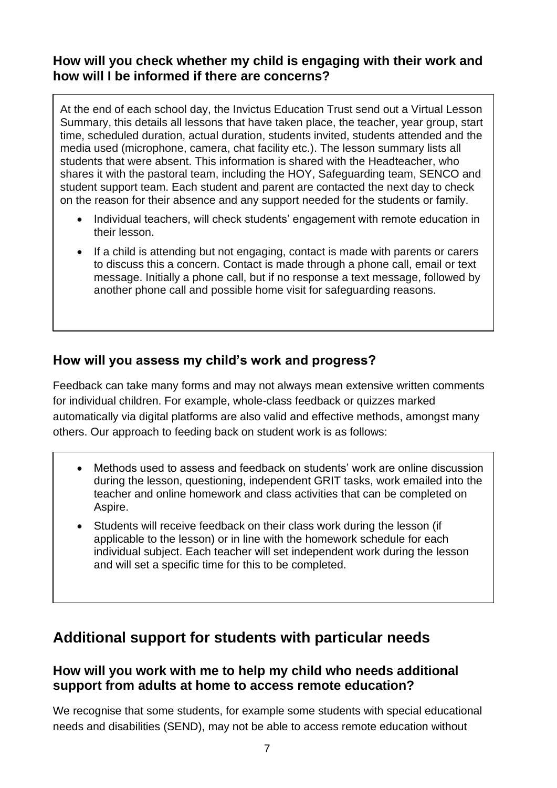### **How will you check whether my child is engaging with their work and how will I be informed if there are concerns?**

At the end of each school day, the Invictus Education Trust send out a Virtual Lesson Summary, this details all lessons that have taken place, the teacher, year group, start time, scheduled duration, actual duration, students invited, students attended and the media used (microphone, camera, chat facility etc.). The lesson summary lists all students that were absent. This information is shared with the Headteacher, who shares it with the pastoral team, including the HOY, Safeguarding team, SENCO and student support team. Each student and parent are contacted the next day to check on the reason for their absence and any support needed for the students or family.

- Individual teachers, will check students' engagement with remote education in their lesson.
- If a child is attending but not engaging, contact is made with parents or carers to discuss this a concern. Contact is made through a phone call, email or text message. Initially a phone call, but if no response a text message, followed by another phone call and possible home visit for safeguarding reasons.

## **How will you assess my child's work and progress?**

Feedback can take many forms and may not always mean extensive written comments for individual children. For example, whole-class feedback or quizzes marked automatically via digital platforms are also valid and effective methods, amongst many others. Our approach to feeding back on student work is as follows:

- Methods used to assess and feedback on students' work are online discussion during the lesson, questioning, independent GRIT tasks, work emailed into the teacher and online homework and class activities that can be completed on Aspire.
- Students will receive feedback on their class work during the lesson (if applicable to the lesson) or in line with the homework schedule for each individual subject. Each teacher will set independent work during the lesson and will set a specific time for this to be completed.

## **Additional support for students with particular needs**

### **How will you work with me to help my child who needs additional support from adults at home to access remote education?**

We recognise that some students, for example some students with special educational needs and disabilities (SEND), may not be able to access remote education without